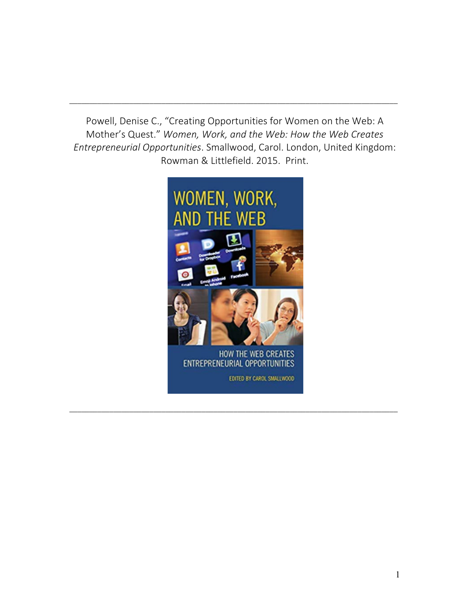Powell, Denise C., "Creating Opportunities for Women on the Web: A Mother's Quest." *Women, Work, and the Web: How the Web Creates Entrepreneurial Opportunities*. Smallwood, Carol. London, United Kingdom: Rowman & Littlefield. 2015. Print.

\_\_\_\_\_\_\_\_\_\_\_\_\_\_\_\_\_\_\_\_\_\_\_\_\_\_\_\_\_\_\_\_\_\_\_\_\_\_\_\_\_\_\_\_\_\_\_\_\_\_\_\_\_\_\_\_\_\_\_\_\_\_\_\_\_\_\_\_\_\_\_\_\_\_\_\_\_\_\_\_\_\_



\_\_\_\_\_\_\_\_\_\_\_\_\_\_\_\_\_\_\_\_\_\_\_\_\_\_\_\_\_\_\_\_\_\_\_\_\_\_\_\_\_\_\_\_\_\_\_\_\_\_\_\_\_\_\_\_\_\_\_\_\_\_\_\_\_\_\_\_\_\_\_\_\_\_\_\_\_\_\_\_\_\_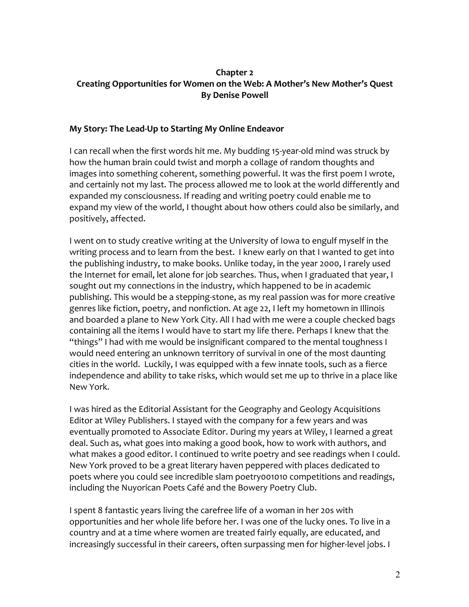### **Chapter 2 Creating Opportunities for Women on the Web: A Mother's New Mother's Quest By Denise Powell**

#### **My Story: The Lead-Up to Starting My Online Endeavor**

I can recall when the first words hit me. My budding 15-year-old mind was struck by how the human brain could twist and morph a collage of random thoughts and images into something coherent, something powerful. It was the first poem I wrote, and certainly not my last. The process allowed me to look at the world differently and expanded my consciousness. If reading and writing poetry could enable me to expand my view of the world, I thought about how others could also be similarly, and positively, affected.

I went on to study creative writing at the University of Iowa to engulf myself in the writing process and to learn from the best. I knew early on that I wanted to get into the publishing industry, to make books. Unlike today, in the year 2000, I rarely used the Internet for email, let alone for job searches. Thus, when I graduated that year, I sought out my connections in the industry, which happened to be in academic publishing. This would be a stepping-stone, as my real passion was for more creative genres like fiction, poetry, and nonfiction. At age 22, I left my hometown in Illinois and boarded a plane to New York City. All I had with me were a couple checked bags containing all the items I would have to start my life there. Perhaps I knew that the "things" I had with me would be insignificant compared to the mental toughness I would need entering an unknown territory of survival in one of the most daunting cities in the world. Luckily, I was equipped with a few innate tools, such as a fierce independence and ability to take risks, which would set me up to thrive in a place like New York.

I was hired as the Editorial Assistant for the Geography and Geology Acquisitions Editor at Wiley Publishers. I stayed with the company for a few years and was eventually promoted to Associate Editor. During my years at Wiley, I learned a great deal. Such as, what goes into making a good book, how to work with authors, and what makes a good editor. I continued to write poetry and see readings when I could. New York proved to be a great literary haven peppered with places dedicated to poets where you could see incredible slam poetry001010 competitions and readings, including the Nuyorican Poets Café and the Bowery Poetry Club.

I spent 8 fantastic years living the carefree life of a woman in her 20s with opportunities and her whole life before her. I was one of the lucky ones. To live in a country and at a time where women are treated fairly equally, are educated, and increasingly successful in their careers, often surpassing men for higher-level jobs. I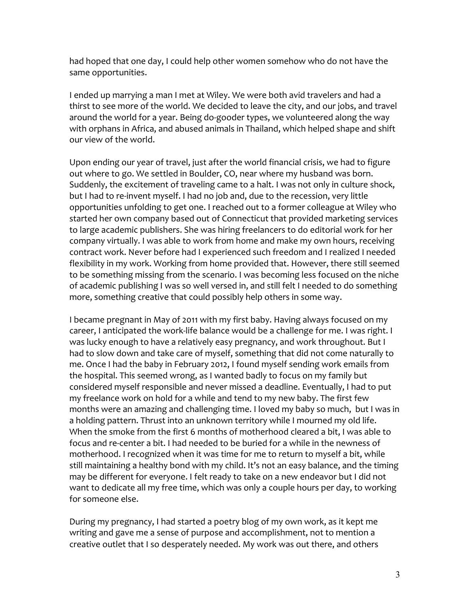had hoped that one day, I could help other women somehow who do not have the same opportunities.

I ended up marrying a man I met at Wiley. We were both avid travelers and had a thirst to see more of the world. We decided to leave the city, and our jobs, and travel around the world for a year. Being do-gooder types, we volunteered along the way with orphans in Africa, and abused animals in Thailand, which helped shape and shift our view of the world.

Upon ending our year of travel, just after the world financial crisis, we had to figure out where to go. We settled in Boulder, CO, near where my husband was born. Suddenly, the excitement of traveling came to a halt. I was not only in culture shock, but I had to re-invent myself. I had no job and, due to the recession, very little opportunities unfolding to get one. I reached out to a former colleague at Wiley who started her own company based out of Connecticut that provided marketing services to large academic publishers. She was hiring freelancers to do editorial work for her company virtually. I was able to work from home and make my own hours, receiving contract work. Never before had I experienced such freedom and I realized I needed flexibility in my work. Working from home provided that. However, there still seemed to be something missing from the scenario. I was becoming less focused on the niche of academic publishing I was so well versed in, and still felt I needed to do something more, something creative that could possibly help others in some way.

I became pregnant in May of 2011 with my first baby. Having always focused on my career, I anticipated the work-life balance would be a challenge for me. I was right. I was lucky enough to have a relatively easy pregnancy, and work throughout. But I had to slow down and take care of myself, something that did not come naturally to me. Once I had the baby in February 2012, I found myself sending work emails from the hospital. This seemed wrong, as I wanted badly to focus on my family but considered myself responsible and never missed a deadline. Eventually, I had to put my freelance work on hold for a while and tend to my new baby. The first few months were an amazing and challenging time. I loved my baby so much, but I was in a holding pattern. Thrust into an unknown territory while I mourned my old life. When the smoke from the first 6 months of motherhood cleared a bit, I was able to focus and re-center a bit. I had needed to be buried for a while in the newness of motherhood. I recognized when it was time for me to return to myself a bit, while still maintaining a healthy bond with my child. It's not an easy balance, and the timing may be different for everyone. I felt ready to take on a new endeavor but I did not want to dedicate all my free time, which was only a couple hours per day, to working for someone else.

During my pregnancy, I had started a poetry blog of my own work, as it kept me writing and gave me a sense of purpose and accomplishment, not to mention a creative outlet that I so desperately needed. My work was out there, and others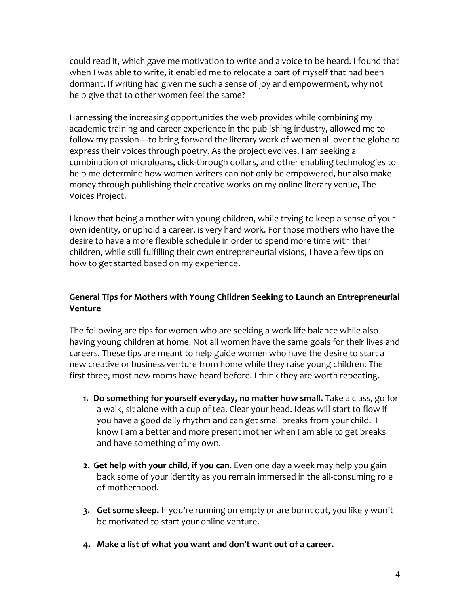could read it, which gave me motivation to write and a voice to be heard. I found that when I was able to write, it enabled me to relocate a part of myself that had been dormant. If writing had given me such a sense of joy and empowerment, why not help give that to other women feel the same?

Harnessing the increasing opportunities the web provides while combining my academic training and career experience in the publishing industry, allowed me to follow my passion—to bring forward the literary work of women all over the globe to express their voices through poetry. As the project evolves, I am seeking a combination of microloans, click-through dollars, and other enabling technologies to help me determine how women writers can not only be empowered, but also make money through publishing their creative works on my online literary venue, The Voices Project.

I know that being a mother with young children, while trying to keep a sense of your own identity, or uphold a career, is very hard work. For those mothers who have the desire to have a more flexible schedule in order to spend more time with their children, while still fulfilling their own entrepreneurial visions, I have a few tips on how to get started based on my experience.

### **General Tips for Mothers with Young Children Seeking to Launch an Entrepreneurial Venture**

The following are tips for women who are seeking a work-life balance while also having young children at home. Not all women have the same goals for their lives and careers. These tips are meant to help guide women who have the desire to start a new creative or business venture from home while they raise young children. The first three, most new moms have heard before. I think they are worth repeating.

- **1. Do something for yourself everyday, no matter how small.** Take a class, go for a walk, sit alone with a cup of tea. Clear your head. Ideas will start to flow if you have a good daily rhythm and can get small breaks from your child. I know I am a better and more present mother when I am able to get breaks and have something of my own.
- **2. Get help with your child, if you can.** Even one day a week may help you gain back some of your identity as you remain immersed in the all-consuming role of motherhood.
- **3. Get some sleep.** If you're running on empty or are burnt out, you likely won't be motivated to start your online venture.
- **4. Make a list of what you want and don't want out of a career.**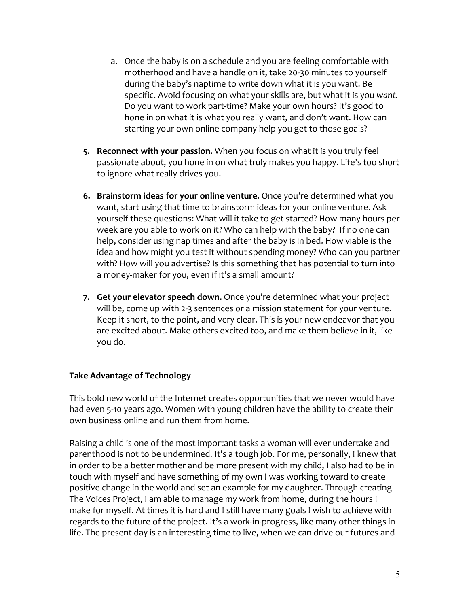- a. Once the baby is on a schedule and you are feeling comfortable with motherhood and have a handle on it, take 20-30 minutes to yourself during the baby's naptime to write down what it is you want. Be specific. Avoid focusing on what your skills are, but what it is you *want.* Do you want to work part-time? Make your own hours? It's good to hone in on what it is what you really want, and don't want. How can starting your own online company help you get to those goals?
- **5. Reconnect with your passion.** When you focus on what it is you truly feel passionate about, you hone in on what truly makes you happy. Life's too short to ignore what really drives you.
- **6. Brainstorm ideas for your online venture.** Once you're determined what you want, start using that time to brainstorm ideas for your online venture. Ask yourself these questions: What will it take to get started? How many hours per week are you able to work on it? Who can help with the baby? If no one can help, consider using nap times and after the baby is in bed. How viable is the idea and how might you test it without spending money? Who can you partner with? How will you advertise? Is this something that has potential to turn into a money-maker for you, even if it's a small amount?
- **7. Get your elevator speech down.** Once you're determined what your project will be, come up with 2-3 sentences or a mission statement for your venture. Keep it short, to the point, and very clear. This is your new endeavor that you are excited about. Make others excited too, and make them believe in it, like you do.

#### **Take Advantage of Technology**

This bold new world of the Internet creates opportunities that we never would have had even 5-10 years ago. Women with young children have the ability to create their own business online and run them from home.

Raising a child is one of the most important tasks a woman will ever undertake and parenthood is not to be undermined. It's a tough job. For me, personally, I knew that in order to be a better mother and be more present with my child, I also had to be in touch with myself and have something of my own I was working toward to create positive change in the world and set an example for my daughter. Through creating The Voices Project, I am able to manage my work from home, during the hours I make for myself. At times it is hard and I still have many goals I wish to achieve with regards to the future of the project. It's a work-in-progress, like many other things in life. The present day is an interesting time to live, when we can drive our futures and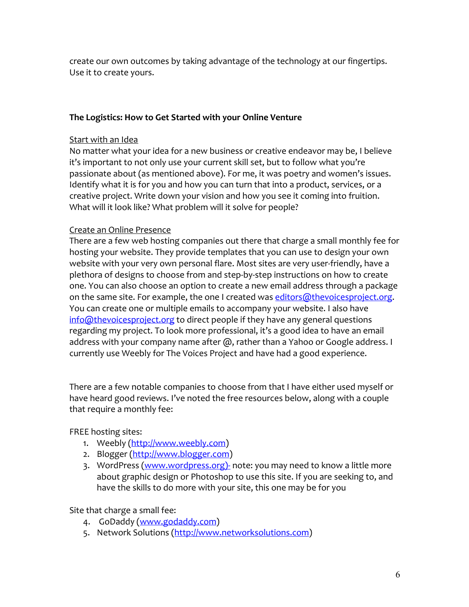create our own outcomes by taking advantage of the technology at our fingertips. Use it to create yours.

### **The Logistics: How to Get Started with your Online Venture**

#### Start with an Idea

No matter what your idea for a new business or creative endeavor may be, I believe it's important to not only use your current skill set, but to follow what you're passionate about (as mentioned above). For me, it was poetry and women's issues. Identify what it is for you and how you can turn that into a product, services, or a creative project. Write down your vision and how you see it coming into fruition. What will it look like? What problem will it solve for people?

#### Create an Online Presence

There are a few web hosting companies out there that charge a small monthly fee for hosting your website. They provide templates that you can use to design your own website with your very own personal flare. Most sites are very user-friendly, have a plethora of designs to choose from and step-by-step instructions on how to create one. You can also choose an option to create a new email address through a package on the same site. For example, the one I created was editors@thevoicesproject.org. You can create one or multiple emails to accompany your website. I also have info@thevoicesproject.org to direct people if they have any general questions regarding my project. To look more professional, it's a good idea to have an email address with your company name after @, rather than a Yahoo or Google address. I currently use Weebly for The Voices Project and have had a good experience.

There are a few notable companies to choose from that I have either used myself or have heard good reviews. I've noted the free resources below, along with a couple that require a monthly fee:

FREE hosting sites:

- 1. Weebly (http://www.weebly.com)
- 2. Blogger (http://www.blogger.com)
- 3. WordPress (www.wordpress.org)- note: you may need to know a little more about graphic design or Photoshop to use this site. If you are seeking to, and have the skills to do more with your site, this one may be for you

Site that charge a small fee:

- 4. GoDaddy (www.godaddy.com)
- 5. Network Solutions (http://www.networksolutions.com)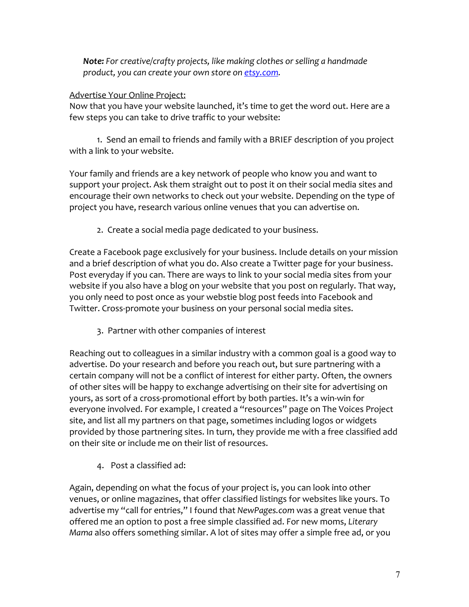*Note: For creative/crafty projects, like making clothes or selling a handmade product, you can create your own store on etsy.com.* 

### Advertise Your Online Project:

Now that you have your website launched, it's time to get the word out. Here are a few steps you can take to drive traffic to your website:

1. Send an email to friends and family with a BRIEF description of you project with a link to your website.

Your family and friends are a key network of people who know you and want to support your project. Ask them straight out to post it on their social media sites and encourage their own networks to check out your website. Depending on the type of project you have, research various online venues that you can advertise on.

2. Create a social media page dedicated to your business.

Create a Facebook page exclusively for your business. Include details on your mission and a brief description of what you do. Also create a Twitter page for your business. Post everyday if you can. There are ways to link to your social media sites from your website if you also have a blog on your website that you post on regularly. That way, you only need to post once as your webstie blog post feeds into Facebook and Twitter. Cross-promote your business on your personal social media sites.

3. Partner with other companies of interest

Reaching out to colleagues in a similar industry with a common goal is a good way to advertise. Do your research and before you reach out, but sure partnering with a certain company will not be a conflict of interest for either party. Often, the owners of other sites will be happy to exchange advertising on their site for advertising on yours, as sort of a cross-promotional effort by both parties. It's a win-win for everyone involved. For example, I created a "resources" page on The Voices Project site, and list all my partners on that page, sometimes including logos or widgets provided by those partnering sites. In turn, they provide me with a free classified add on their site or include me on their list of resources.

4. Post a classified ad:

Again, depending on what the focus of your project is, you can look into other venues, or online magazines, that offer classified listings for websites like yours. To advertise my "call for entries," I found that *NewPages.com* was a great venue that offered me an option to post a free simple classified ad. For new moms, *Literary Mama* also offers something similar. A lot of sites may offer a simple free ad, or you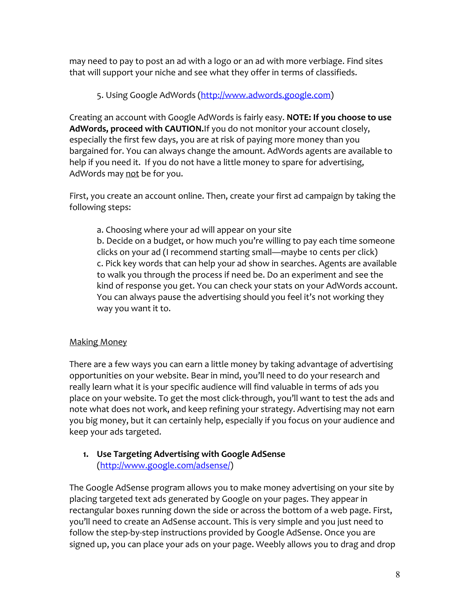may need to pay to post an ad with a logo or an ad with more verbiage. Find sites that will support your niche and see what they offer in terms of classifieds.

### 5. Using Google AdWords (http://www.adwords.google.com)

Creating an account with Google AdWords is fairly easy. **NOTE: If you choose to use AdWords, proceed with CAUTION.**If you do not monitor your account closely, especially the first few days, you are at risk of paying more money than you bargained for. You can always change the amount. AdWords agents are available to help if you need it. If you do not have a little money to spare for advertising, AdWords may not be for you.

First, you create an account online. Then, create your first ad campaign by taking the following steps:

a. Choosing where your ad will appear on your site b. Decide on a budget, or how much you're willing to pay each time someone clicks on your ad (I recommend starting small—maybe 10 cents per click) c. Pick key words that can help your ad show in searches. Agents are available to walk you through the process if need be. Do an experiment and see the kind of response you get. You can check your stats on your AdWords account. You can always pause the advertising should you feel it's not working they way you want it to.

### Making Money

There are a few ways you can earn a little money by taking advantage of advertising opportunities on your website. Bear in mind, you'll need to do your research and really learn what it is your specific audience will find valuable in terms of ads you place on your website. To get the most click-through, you'll want to test the ads and note what does not work, and keep refining your strategy. Advertising may not earn you big money, but it can certainly help, especially if you focus on your audience and keep your ads targeted.

## **1. Use Targeting Advertising with Google AdSense** (http://www.google.com/adsense/)

The Google AdSense program allows you to make money advertising on your site by placing targeted text ads generated by Google on your pages. They appear in rectangular boxes running down the side or across the bottom of a web page. First, you'll need to create an AdSense account. This is very simple and you just need to follow the step-by-step instructions provided by Google AdSense. Once you are signed up, you can place your ads on your page. Weebly allows you to drag and drop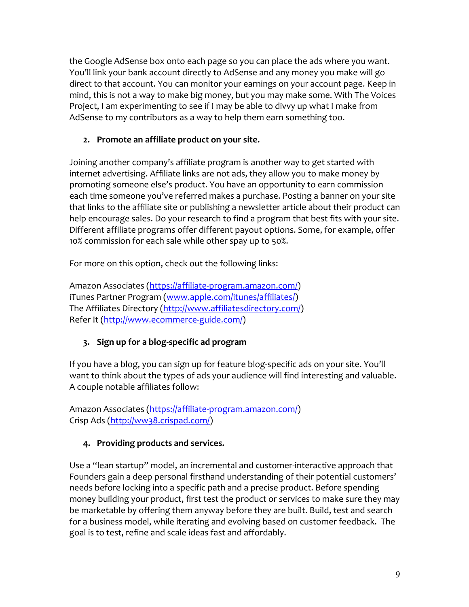the Google AdSense box onto each page so you can place the ads where you want. You'll link your bank account directly to AdSense and any money you make will go direct to that account. You can monitor your earnings on your account page. Keep in mind, this is not a way to make big money, but you may make some. With The Voices Project, I am experimenting to see if I may be able to divvy up what I make from AdSense to my contributors as a way to help them earn something too.

## **2. Promote an affiliate product on your site.**

Joining another company's affiliate program is another way to get started with internet advertising. Affiliate links are not ads, they allow you to make money by promoting someone else's product. You have an opportunity to earn commission each time someone you've referred makes a purchase. Posting a banner on your site that links to the affiliate site or publishing a newsletter article about their product can help encourage sales. Do your research to find a program that best fits with your site. Different affiliate programs offer different payout options. Some, for example, offer 10% commission for each sale while other spay up to 50%.

For more on this option, check out the following links:

Amazon Associates (https://affiliate-program.amazon.com/) iTunes Partner Program (www.apple.com/itunes/affiliates/) The Affiliates Directory (http://www.affiliatesdirectory.com/) Refer It (http://www.ecommerce-guide.com/)

# **3. Sign up for a blog-specific ad program**

If you have a blog, you can sign up for feature blog-specific ads on your site. You'll want to think about the types of ads your audience will find interesting and valuable. A couple notable affiliates follow:

Amazon Associates (https://affiliate-program.amazon.com/) Crisp Ads (http://ww38.crispad.com/)

# **4. Providing products and services.**

Use a "lean startup" model, an incremental and customer-interactive approach that Founders gain a deep personal firsthand understanding of their potential customers' needs before locking into a specific path and a precise product. Before spending money building your product, first test the product or services to make sure they may be marketable by offering them anyway before they are built. Build, test and search for a business model, while iterating and evolving based on customer feedback. The goal is to test, refine and scale ideas fast and affordably.